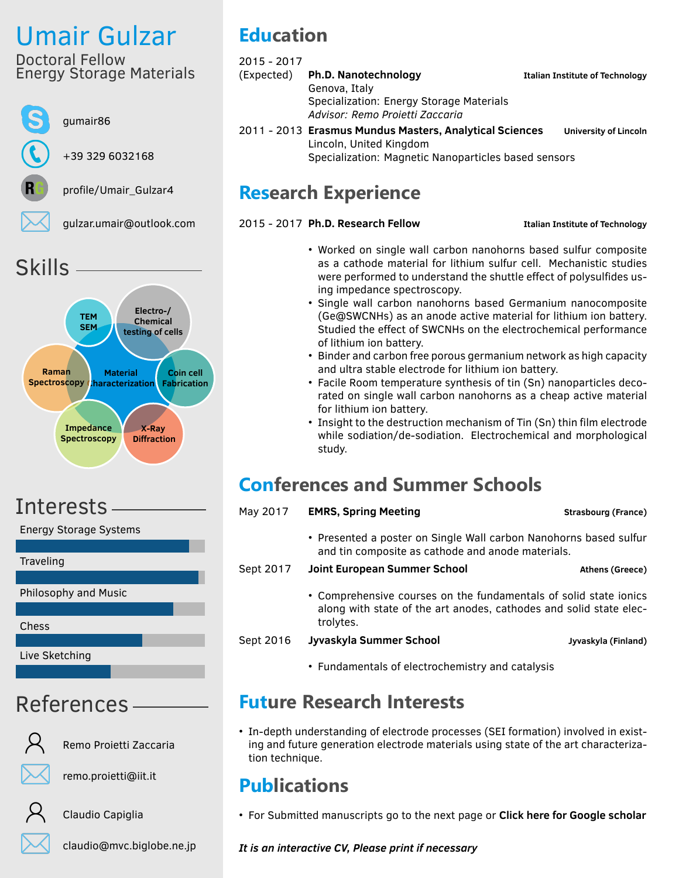# Umair Gulzar

#### Doctoral Fellow Energy Storage Materials



# Skills



## Interests

Energy Storage Systems

**Traveling** 

Philosophy and Music

Chess

Live Sketching

## References

Remo Proietti Zaccaria



[remo.proietti@iit.it](mailto:Remo.Proietti@iit.it)



Claudio Capiglia

[claudio@mvc.biglobe.ne.jp](mailto:claudio@mvc.biglobe.ne.jp)

### **Education**

2015 - 2017 (Expected) **Ph.D. Nanotechnology [Italian Institute of Technology](https://www.iit.it/)**

Genova, Italy Specialization: Energy Storage Materials *Advisor: Remo Proietti Zaccaria*

2011 - 2013 **Erasmus Mundus Masters, Analytical Sciences [University of Lincoln](https://www.lincoln.ac.uk/home/)** Lincoln, United Kingdom Specialization: Magnetic Nanoparticles based sensors

### **Research Experience**

#### 2015 - 2017 **Ph.D. Research Fellow [Italian Institute of Technology](https://www.iit.it/)**

- Worked on single wall carbon nanohorns based sulfur composite as a cathode material for lithium sulfur cell. Mechanistic studies were performed to understand the shuttle effect of polysulfides using impedance spectroscopy.
- Single wall carbon nanohorns based Germanium nanocomposite (Ge@SWCNHs) as an anode active material for lithium ion battery. Studied the effect of SWCNHs on the electrochemical performance of lithium ion battery.
- Binder and carbon free porous germanium network as high capacity and ultra stable electrode for lithium ion battery.
- Facile Room temperature synthesis of tin (Sn) nanoparticles decorated on single wall carbon nanohorns as a cheap active material for lithium ion battery.
- Insight to the destruction mechanism of Tin (Sn) thin film electrode while sodiation/de-sodiation. Electrochemical and morphological study.

### **Conferences and Summer Schools**

May 2017 **EMRS, Spring Meeting [Strasbourg \(France\)](http://www.european-mrs.com/meetings/2017-spring-meeting)**

- Presented a poster on Single Wall carbon Nanohorns based sulfur and tin composite as cathode and anode materials.
- Sept 2017 **Joint European Summer School [Athens \(Greece\)](http://www.jess-summerschool.eu/)**
	- Comprehensive courses on the fundamentals of solid state ionics along with state of the art anodes, cathodes and solid state electrolytes.
- Sept 2016 **Jyvaskyla Summer School [Jyvaskyla \(Finland\)](https://www.jyu.fi/science/muut_yksikot/summerschool/en)**

• Fundamentals of electrochemistry and catalysis

#### **Future Research Interests**

• In-depth understanding of electrode processes (SEI formation) involved in existing and future generation electrode materials using state of the art characterization technique.

#### **Publications**

• For Submitted manuscripts go to the next page or **[Click here for Google scholar](https://scholar.google.it/citations?hl=en&user=COCauOMAAAAJ&view_op=list_works&sortby=pubdate)**

*It is an interactive CV, Please print if necessary*